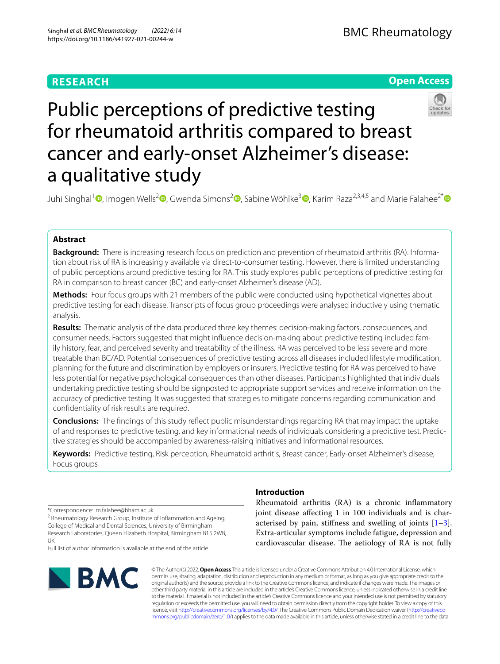# **RESEARCH**

# **Open Access**



# Public perceptions of predictive testing for rheumatoid arthritis compared to breast cancer and early-onset Alzheimer's disease: a qualitative study

Juhi Singhal<sup>1</sup> **D**[,](http://orcid.org/0000-0002-0480-2591) Imogen Wells<sup>2</sup> D[,](http://orcid.org/0000-0002-7679-085X) Gwenda Simons<sup>[2](http://orcid.org/0000-0003-2596-9101)</sup> D, Sabine Wöhlke<sup>3</sup> D, Karim Raza<sup>2,3,4,5</sup> and Marie Falahee<sup>2[\\*](http://orcid.org/0000-0001-5928-486X)</sup> D

# **Abstract**

**Background:** There is increasing research focus on prediction and prevention of rheumatoid arthritis (RA). Information about risk of RA is increasingly available via direct-to-consumer testing. However, there is limited understanding of public perceptions around predictive testing for RA. This study explores public perceptions of predictive testing for RA in comparison to breast cancer (BC) and early-onset Alzheimer's disease (AD).

**Methods:** Four focus groups with 21 members of the public were conducted using hypothetical vignettes about predictive testing for each disease. Transcripts of focus group proceedings were analysed inductively using thematic analysis.

**Results:** Thematic analysis of the data produced three key themes: decision-making factors, consequences, and consumer needs. Factors suggested that might infuence decision-making about predictive testing included family history, fear, and perceived severity and treatability of the illness. RA was perceived to be less severe and more treatable than BC/AD. Potential consequences of predictive testing across all diseases included lifestyle modifcation, planning for the future and discrimination by employers or insurers. Predictive testing for RA was perceived to have less potential for negative psychological consequences than other diseases. Participants highlighted that individuals undertaking predictive testing should be signposted to appropriate support services and receive information on the accuracy of predictive testing. It was suggested that strategies to mitigate concerns regarding communication and confdentiality of risk results are required.

**Conclusions:** The fndings of this study refect public misunderstandings regarding RA that may impact the uptake of and responses to predictive testing, and key informational needs of individuals considering a predictive test. Predictive strategies should be accompanied by awareness-raising initiatives and informational resources.

**Keywords:** Predictive testing, Risk perception, Rheumatoid arthritis, Breast cancer, Early-onset Alzheimer's disease, Focus groups

\*Correspondence: m.falahee@bham.ac.uk

<sup>2</sup> Rheumatology Research Group, Institute of Inflammation and Ageing, College of Medical and Dental Sciences, University of Birmingham Research Laboratories, Queen Elizabeth Hospital, Birmingham B15 2WB, UK

Full list of author information is available at the end of the article



# **Introduction**

Rheumatoid arthritis (RA) is a chronic infammatory joint disease afecting 1 in 100 individuals and is characterised by pain, stifness and swelling of joints [\[1](#page-11-0)[–3](#page-11-1)]. Extra-articular symptoms include fatigue, depression and cardiovascular disease. The aetiology of RA is not fully

© The Author(s) 2022. **Open Access** This article is licensed under a Creative Commons Attribution 4.0 International License, which permits use, sharing, adaptation, distribution and reproduction in any medium or format, as long as you give appropriate credit to the original author(s) and the source, provide a link to the Creative Commons licence, and indicate if changes were made. The images or other third party material in this article are included in the article's Creative Commons licence, unless indicated otherwise in a credit line to the material. If material is not included in the article's Creative Commons licence and your intended use is not permitted by statutory regulation or exceeds the permitted use, you will need to obtain permission directly from the copyright holder. To view a copy of this licence, visit [http://creativecommons.org/licenses/by/4.0/.](http://creativecommons.org/licenses/by/4.0/) The Creative Commons Public Domain Dedication waiver ([http://creativeco](http://creativecommons.org/publicdomain/zero/1.0/) [mmons.org/publicdomain/zero/1.0/](http://creativecommons.org/publicdomain/zero/1.0/)) applies to the data made available in this article, unless otherwise stated in a credit line to the data.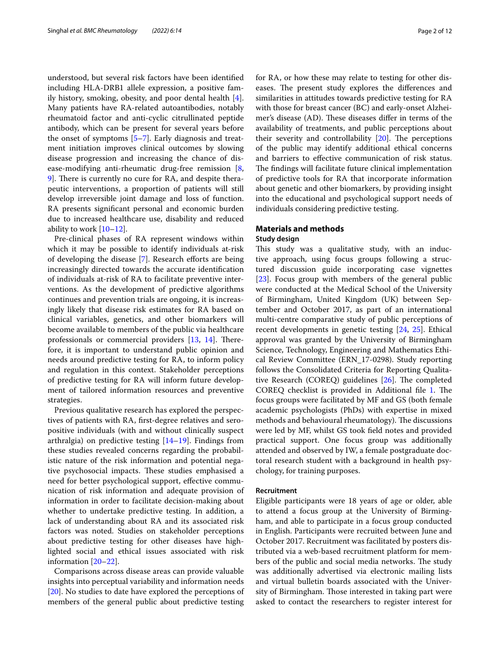understood, but several risk factors have been identifed including HLA-DRB1 allele expression, a positive family history, smoking, obesity, and poor dental health  $[4]$  $[4]$ . Many patients have RA-related autoantibodies, notably rheumatoid factor and anti-cyclic citrullinated peptide antibody, which can be present for several years before the onset of symptoms [\[5](#page-11-3)–[7\]](#page-11-4). Early diagnosis and treatment initiation improves clinical outcomes by slowing disease progression and increasing the chance of disease-modifying anti-rheumatic drug-free remission [\[8](#page-11-5), [9\]](#page-11-6). There is currently no cure for RA, and despite therapeutic interventions, a proportion of patients will still develop irreversible joint damage and loss of function. RA presents signifcant personal and economic burden due to increased healthcare use, disability and reduced ability to work  $[10-12]$  $[10-12]$ .

Pre-clinical phases of RA represent windows within which it may be possible to identify individuals at-risk of developing the disease [\[7](#page-11-4)]. Research efforts are being increasingly directed towards the accurate identifcation of individuals at-risk of RA to facilitate preventive interventions. As the development of predictive algorithms continues and prevention trials are ongoing, it is increasingly likely that disease risk estimates for RA based on clinical variables, genetics, and other biomarkers will become available to members of the public via healthcare professionals or commercial providers  $[13, 14]$  $[13, 14]$  $[13, 14]$  $[13, 14]$ . Therefore, it is important to understand public opinion and needs around predictive testing for RA, to inform policy and regulation in this context. Stakeholder perceptions of predictive testing for RA will inform future development of tailored information resources and preventive strategies.

Previous qualitative research has explored the perspectives of patients with RA, frst-degree relatives and seropositive individuals (with and without clinically suspect arthralgia) on predictive testing  $[14–19]$  $[14–19]$  $[14–19]$  $[14–19]$ . Findings from these studies revealed concerns regarding the probabilistic nature of the risk information and potential negative psychosocial impacts. These studies emphasised a need for better psychological support, efective communication of risk information and adequate provision of information in order to facilitate decision-making about whether to undertake predictive testing. In addition, a lack of understanding about RA and its associated risk factors was noted. Studies on stakeholder perceptions about predictive testing for other diseases have highlighted social and ethical issues associated with risk information [\[20](#page-11-12)–[22\]](#page-11-13).

Comparisons across disease areas can provide valuable insights into perceptual variability and information needs [[20\]](#page-11-12). No studies to date have explored the perceptions of members of the general public about predictive testing for RA, or how these may relate to testing for other diseases. The present study explores the differences and similarities in attitudes towards predictive testing for RA with those for breast cancer (BC) and early-onset Alzheimer's disease (AD). These diseases differ in terms of the availability of treatments, and public perceptions about their severity and controllability  $[20]$  $[20]$ . The perceptions of the public may identify additional ethical concerns and barriers to efective communication of risk status. The findings will facilitate future clinical implementation of predictive tools for RA that incorporate information about genetic and other biomarkers, by providing insight into the educational and psychological support needs of individuals considering predictive testing.

## **Materials and methods**

### **Study design**

This study was a qualitative study, with an inductive approach, using focus groups following a structured discussion guide incorporating case vignettes [[23\]](#page-11-14). Focus group with members of the general public were conducted at the Medical School of the University of Birmingham, United Kingdom (UK) between September and October 2017, as part of an international multi-centre comparative study of public perceptions of recent developments in genetic testing [\[24](#page-11-15), [25](#page-11-16)]. Ethical approval was granted by the University of Birmingham Science, Technology, Engineering and Mathematics Ethical Review Committee (ERN\_17-0298). Study reporting follows the Consolidated Criteria for Reporting Qualitative Research (COREQ) guidelines  $[26]$ . The completed COREQ checklist is provided in Additional file [1.](#page-10-0) The focus groups were facilitated by MF and GS (both female academic psychologists (PhDs) with expertise in mixed methods and behavioural rheumatology). The discussions were led by MF, whilst GS took feld notes and provided practical support. One focus group was additionally attended and observed by IW, a female postgraduate doctoral research student with a background in health psychology, for training purposes.

#### **Recruitment**

Eligible participants were 18 years of age or older, able to attend a focus group at the University of Birmingham, and able to participate in a focus group conducted in English. Participants were recruited between June and October 2017. Recruitment was facilitated by posters distributed via a web-based recruitment platform for members of the public and social media networks. The study was additionally advertised via electronic mailing lists and virtual bulletin boards associated with the University of Birmingham. Those interested in taking part were asked to contact the researchers to register interest for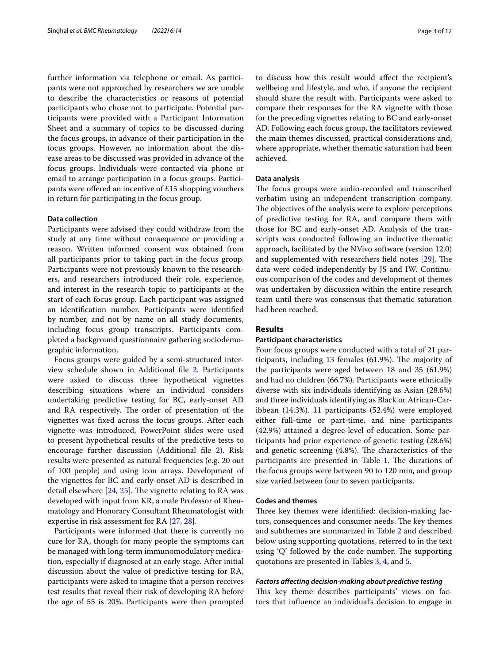further information via telephone or email. As participants were not approached by researchers we are unable to describe the characteristics or reasons of potential participants who chose not to participate. Potential participants were provided with a Participant Information Sheet and a summary of topics to be discussed during the focus groups, in advance of their participation in the focus groups. However, no information about the disease areas to be discussed was provided in advance of the focus groups. Individuals were contacted via phone or email to arrange participation in a focus groups. Participants were ofered an incentive of £15 shopping vouchers in return for participating in the focus group.

## **Data collection**

Participants were advised they could withdraw from the study at any time without consequence or providing a reason. Written informed consent was obtained from all participants prior to taking part in the focus group. Participants were not previously known to the researchers, and researchers introduced their role, experience, and interest in the research topic to participants at the start of each focus group. Each participant was assigned an identifcation number. Participants were identifed by number, and not by name on all study documents, including focus group transcripts. Participants completed a background questionnaire gathering sociodemographic information.

Focus groups were guided by a semi-structured interview schedule shown in Additional fle [2.](#page-10-1) Participants were asked to discuss three hypothetical vignettes describing situations where an individual considers undertaking predictive testing for BC, early-onset AD and RA respectively. The order of presentation of the vignettes was fxed across the focus groups. After each vignette was introduced, PowerPoint slides were used to present hypothetical results of the predictive tests to encourage further discussion (Additional fle [2](#page-10-1)). Risk results were presented as natural frequencies (e.g. 20 out of 100 people) and using icon arrays. Development of the vignettes for BC and early-onset AD is described in detail elsewhere  $[24, 25]$  $[24, 25]$  $[24, 25]$ . The vignette relating to RA was developed with input from KR, a male Professor of Rheumatology and Honorary Consultant Rheumatologist with expertise in risk assessment for RA [[27,](#page-11-18) [28](#page-11-19)].

Participants were informed that there is currently no cure for RA, though for many people the symptoms can be managed with long-term immunomodulatory medication, especially if diagnosed at an early stage. After initial discussion about the value of predictive testing for RA, participants were asked to imagine that a person receives test results that reveal their risk of developing RA before the age of 55 is 20%. Participants were then prompted to discuss how this result would afect the recipient's wellbeing and lifestyle, and who, if anyone the recipient should share the result with. Participants were asked to compare their responses for the RA vignette with those for the preceding vignettes relating to BC and early-onset AD. Following each focus group, the facilitators reviewed the main themes discussed, practical considerations and, where appropriate, whether thematic saturation had been achieved.

### **Data analysis**

The focus groups were audio-recorded and transcribed verbatim using an independent transcription company. The objectives of the analysis were to explore perceptions of predictive testing for RA, and compare them with those for BC and early-onset AD. Analysis of the transcripts was conducted following an inductive thematic approach, facilitated by the NVivo software (version 12.0) and supplemented with researchers field notes  $[29]$  $[29]$ . The data were coded independently by JS and IW. Continuous comparison of the codes and development of themes was undertaken by discussion within the entire research team until there was consensus that thematic saturation had been reached.

## **Results**

#### **Participant characteristics**

Four focus groups were conducted with a total of 21 participants, including 13 females (61.9%). The majority of the participants were aged between 18 and 35 (61.9%) and had no children (66.7%). Participants were ethnically diverse with six individuals identifying as Asian (28.6%) and three individuals identifying as Black or African-Caribbean (14.3%). 11 participants (52.4%) were employed either full-time or part-time, and nine participants (42.9%) attained a degree-level of education. Some participants had prior experience of genetic testing (28.6%) and genetic screening  $(4.8\%)$ . The characteristics of the participants are presented in Table [1.](#page-3-0) The durations of the focus groups were between 90 to 120 min, and group size varied between four to seven participants.

## **Codes and themes**

Three key themes were identified: decision-making factors, consequences and consumer needs. The key themes and subthemes are summarized in Table [2](#page-4-0) and described below using supporting quotations, referred to in the text using  $'Q'$  followed by the code number. The supporting quotations are presented in Tables [3,](#page-5-0) [4](#page-7-0), and [5](#page-9-0).

### *Factors afecting decision‑making about predictive testing*

This key theme describes participants' views on factors that infuence an individual's decision to engage in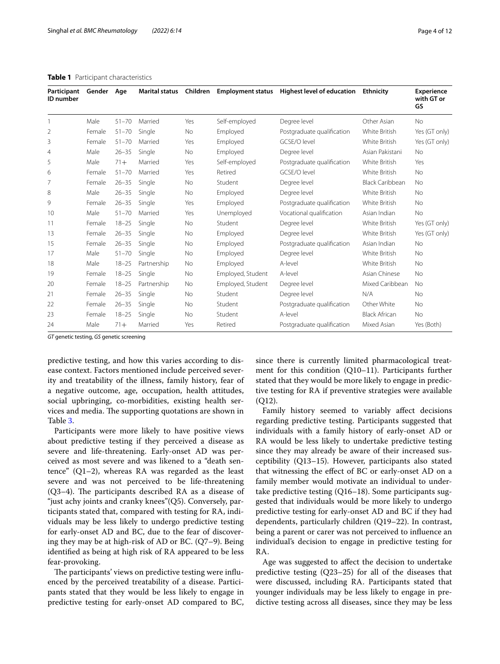| Participant<br><b>ID</b> number | Gender Age |           | <b>Marital status</b> | Children  | <b>Employment status</b> | Highest level of education | Ethnicity              | <b>Experience</b><br>with GT or<br>GS |
|---------------------------------|------------|-----------|-----------------------|-----------|--------------------------|----------------------------|------------------------|---------------------------------------|
| 1                               | Male       | $51 - 70$ | Married               | Yes       | Self-employed            | Degree level               | Other Asian            | <b>No</b>                             |
| 2                               | Female     | $51 - 70$ | Single                | No        | Employed                 | Postgraduate qualification | White British          | Yes (GT only)                         |
| 3                               | Female     | $51 - 70$ | Married               | Yes       | Employed                 | GCSF/O level               | White British          | Yes (GT only)                         |
| 4                               | Male       | $26 - 35$ | Single                | No        | Employed                 | Degree level               | Asian Pakistani        | <b>No</b>                             |
| 5                               | Male       | $71 +$    | Married               | Yes       | Self-employed            | Postgraduate qualification | White British          | Yes                                   |
| 6                               | Female     | $51 - 70$ | Married               | Yes       | Retired                  | GCSE/O level               | White British          | <b>No</b>                             |
| 7                               | Female     | $26 - 35$ | Single                | <b>No</b> | Student                  | Degree level               | <b>Black Caribbean</b> | <b>No</b>                             |
| 8                               | Male       | $26 - 35$ | Single                | <b>No</b> | Employed                 | Degree level               | White British          | <b>No</b>                             |
| 9                               | Female     | $26 - 35$ | Single                | Yes       | Employed                 | Postgraduate qualification | White British          | <b>No</b>                             |
| 10                              | Male       | $51 - 70$ | Married               | Yes       | Unemployed               | Vocational qualification   | Asian Indian           | <b>No</b>                             |
| 11                              | Female     | $18 - 25$ | Single                | No        | Student                  | Degree level               | White British          | Yes (GT only)                         |
| 13                              | Female     | $26 - 35$ | Single                | No        | Employed                 | Degree level               | White British          | Yes (GT only)                         |
| 15                              | Female     | $26 - 35$ | Single                | <b>No</b> | Employed                 | Postgraduate qualification | Asian Indian           | <b>No</b>                             |
| 17                              | Male       | $51 - 70$ | Single                | No        | Employed                 | Degree level               | White British          | <b>No</b>                             |
| 18                              | Male       | $18 - 25$ | Partnership           | <b>No</b> | Employed                 | A-level                    | White British          | <b>No</b>                             |
| 19                              | Female     | $18 - 25$ | Single                | No        | Employed, Student        | A-level                    | Asian Chinese          | <b>No</b>                             |
| 20                              | Female     | $18 - 25$ | Partnership           | No        | Employed, Student        | Degree level               | Mixed Caribbean        | <b>No</b>                             |
| 21                              | Female     | $26 - 35$ | Single                | <b>No</b> | Student                  | Degree level               | N/A                    | <b>No</b>                             |
| 22                              | Female     | $26 - 35$ | Single                | No        | Student                  | Postgraduate qualification | Other White            | No                                    |
| 23                              | Female     | $18 - 25$ | Single                | No        | Student                  | A-level                    | <b>Black African</b>   | No                                    |
| 24                              | Male       | $71 +$    | Married               | Yes       | Retired                  | Postgraduate qualification | Mixed Asian            | Yes (Both)                            |

<span id="page-3-0"></span>

|  | Table 1 Participant characteristics |  |
|--|-------------------------------------|--|
|--|-------------------------------------|--|

*GT* genetic testing, *GS* genetic screening

predictive testing, and how this varies according to disease context. Factors mentioned include perceived severity and treatability of the illness, family history, fear of a negative outcome, age, occupation, health attitudes, social upbringing, co-morbidities, existing health services and media. The supporting quotations are shown in Table [3](#page-5-0).

Participants were more likely to have positive views about predictive testing if they perceived a disease as severe and life-threatening. Early-onset AD was perceived as most severe and was likened to a "death sentence" (Q1–2), whereas RA was regarded as the least severe and was not perceived to be life-threatening  $(Q3-4)$ . The participants described RA as a disease of "just achy joints and cranky knees"(Q5). Conversely, participants stated that, compared with testing for RA, individuals may be less likely to undergo predictive testing for early-onset AD and BC, due to the fear of discovering they may be at high-risk of AD or BC. (Q7–9). Being identifed as being at high risk of RA appeared to be less fear-provoking.

The participants' views on predictive testing were influenced by the perceived treatability of a disease. Participants stated that they would be less likely to engage in predictive testing for early-onset AD compared to BC, since there is currently limited pharmacological treatment for this condition (Q10–11). Participants further stated that they would be more likely to engage in predictive testing for RA if preventive strategies were available (Q12).

Family history seemed to variably afect decisions regarding predictive testing. Participants suggested that individuals with a family history of early-onset AD or RA would be less likely to undertake predictive testing since they may already be aware of their increased susceptibility (Q13–15). However, participants also stated that witnessing the efect of BC or early-onset AD on a family member would motivate an individual to undertake predictive testing (Q16–18). Some participants suggested that individuals would be more likely to undergo predictive testing for early-onset AD and BC if they had dependents, particularly children (Q19–22). In contrast, being a parent or carer was not perceived to infuence an individual's decision to engage in predictive testing for RA.

Age was suggested to afect the decision to undertake predictive testing (Q23–25) for all of the diseases that were discussed, including RA. Participants stated that younger individuals may be less likely to engage in predictive testing across all diseases, since they may be less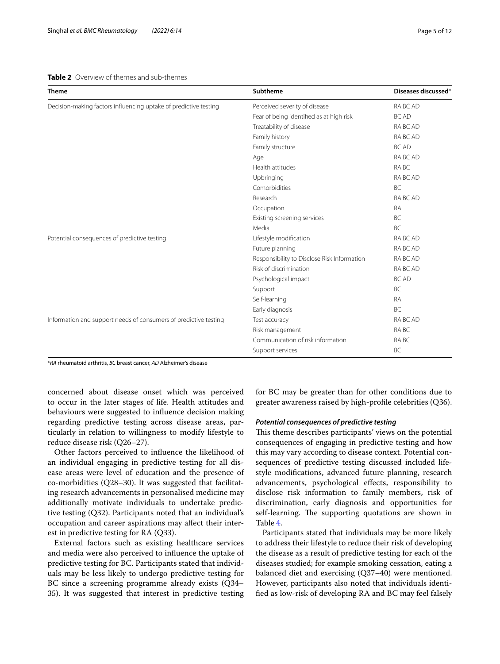#### <span id="page-4-0"></span>**Table 2** Overview of themes and sub-themes

| <b>Theme</b>                                                     | Subtheme                                    | Diseases discussed* |
|------------------------------------------------------------------|---------------------------------------------|---------------------|
| Decision-making factors influencing uptake of predictive testing | Perceived severity of disease               | RA BC AD            |
|                                                                  | Fear of being identified as at high risk    | <b>BC AD</b>        |
|                                                                  | Treatability of disease                     | RA BC AD            |
|                                                                  | Family history                              | RA BC AD            |
|                                                                  | Family structure                            | <b>BC AD</b>        |
|                                                                  | Age                                         | RA BC AD            |
|                                                                  | Health attitudes                            | RA BC               |
|                                                                  | Upbringing                                  | RA BC AD            |
|                                                                  | Comorbidities                               | <b>BC</b>           |
|                                                                  | Research                                    | RA BC AD            |
|                                                                  | Occupation                                  | <b>RA</b>           |
|                                                                  | Existing screening services                 | BC.                 |
|                                                                  | Media                                       | BC.                 |
| Potential consequences of predictive testing                     | Lifestyle modification                      | RA BC AD            |
|                                                                  | Future planning                             | RA BC AD            |
|                                                                  | Responsibility to Disclose Risk Information | RA BC AD            |
|                                                                  | Risk of discrimination                      | RA BC AD            |
|                                                                  | Psychological impact                        | <b>BC AD</b>        |
|                                                                  | Support                                     | BC                  |
|                                                                  | Self-learning                               | <b>RA</b>           |
|                                                                  | Early diagnosis                             | BC                  |
| Information and support needs of consumers of predictive testing | Test accuracy                               | RA BC AD            |
|                                                                  | Risk management                             | RA BC               |
|                                                                  | Communication of risk information           | RA BC               |
|                                                                  | Support services                            | BC                  |

\**RA* rheumatoid arthritis, *BC* breast cancer, *AD* Alzheimer's disease

concerned about disease onset which was perceived to occur in the later stages of life. Health attitudes and behaviours were suggested to infuence decision making regarding predictive testing across disease areas, particularly in relation to willingness to modify lifestyle to reduce disease risk (Q26–27).

Other factors perceived to infuence the likelihood of an individual engaging in predictive testing for all disease areas were level of education and the presence of co-morbidities (Q28–30). It was suggested that facilitating research advancements in personalised medicine may additionally motivate individuals to undertake predictive testing (Q32). Participants noted that an individual's occupation and career aspirations may afect their interest in predictive testing for RA (Q33).

External factors such as existing healthcare services and media were also perceived to infuence the uptake of predictive testing for BC. Participants stated that individuals may be less likely to undergo predictive testing for BC since a screening programme already exists (Q34– 35). It was suggested that interest in predictive testing for BC may be greater than for other conditions due to greater awareness raised by high-profle celebrities (Q36).

#### *Potential consequences of predictive testing*

This theme describes participants' views on the potential consequences of engaging in predictive testing and how this may vary according to disease context. Potential consequences of predictive testing discussed included lifestyle modifcations, advanced future planning, research advancements, psychological efects, responsibility to disclose risk information to family members, risk of discrimination, early diagnosis and opportunities for self-learning. The supporting quotations are shown in Table [4](#page-7-0).

Participants stated that individuals may be more likely to address their lifestyle to reduce their risk of developing the disease as a result of predictive testing for each of the diseases studied; for example smoking cessation, eating a balanced diet and exercising (Q37–40) were mentioned. However, participants also noted that individuals identifed as low-risk of developing RA and BC may feel falsely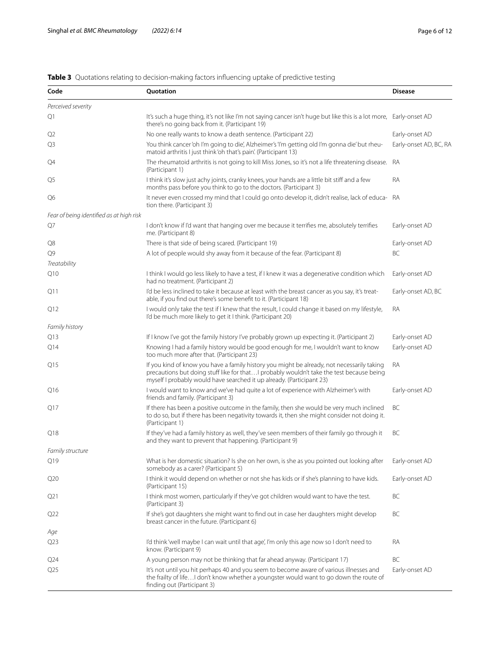# <span id="page-5-0"></span>**Table 3** Quotations relating to decision-making factors influencing uptake of predictive testing

| Code                                     | Quotation                                                                                                                                                                                                                                                        | <b>Disease</b>         |
|------------------------------------------|------------------------------------------------------------------------------------------------------------------------------------------------------------------------------------------------------------------------------------------------------------------|------------------------|
| Perceived severity                       |                                                                                                                                                                                                                                                                  |                        |
| Q1                                       | It's such a huge thing, it's not like I'm not saying cancer isn't huge but like this is a lot more,<br>there's no going back from it. (Participant 19)                                                                                                           | Early-onset AD         |
| Q2                                       | No one really wants to know a death sentence. (Participant 22)                                                                                                                                                                                                   | Early-onset AD         |
| Q3                                       | You think cancer 'oh I'm going to die', Alzheimer's 'I'm getting old I'm gonna die' but rheu-<br>matoid arthritis I just think 'oh that's pain'. (Participant 13)                                                                                                | Early-onset AD, BC, RA |
| Q4                                       | The rheumatoid arthritis is not going to kill Miss Jones, so it's not a life threatening disease. RA<br>(Participant 1)                                                                                                                                          |                        |
| Q5                                       | I think it's slow just achy joints, cranky knees, your hands are a little bit stiff and a few<br>months pass before you think to go to the doctors. (Participant 3)                                                                                              | RA                     |
| Q6                                       | It never even crossed my mind that I could go onto develop it, didn't realise, lack of educa- RA<br>tion there. (Participant 3)                                                                                                                                  |                        |
| Fear of being identified as at high risk |                                                                                                                                                                                                                                                                  |                        |
| Q7                                       | I don't know if I'd want that hanging over me because it terrifies me, absolutely terrifies<br>me. (Participant 8)                                                                                                                                               | Early-onset AD         |
| Q8                                       | There is that side of being scared. (Participant 19)                                                                                                                                                                                                             | Early-onset AD         |
| Q9                                       | A lot of people would shy away from it because of the fear. (Participant 8)                                                                                                                                                                                      | ВC                     |
| Treatability                             |                                                                                                                                                                                                                                                                  |                        |
| Q10                                      | I think I would go less likely to have a test, if I knew it was a degenerative condition which<br>had no treatment. (Participant 2)                                                                                                                              | Early-onset AD         |
| Q11                                      | I'd be less inclined to take it because at least with the breast cancer as you say, it's treat-<br>able, if you find out there's some benefit to it. (Participant 18)                                                                                            | Early-onset AD, BC     |
| Q12                                      | I would only take the test if I knew that the result, I could change it based on my lifestyle,<br>I'd be much more likely to get it I think. (Participant 20)                                                                                                    | RA                     |
| Family history                           |                                                                                                                                                                                                                                                                  |                        |
| Q13                                      | If I know I've got the family history I've probably grown up expecting it. (Participant 2)                                                                                                                                                                       | Early-onset AD         |
| Q14                                      | Knowing I had a family history would be good enough for me, I wouldn't want to know<br>too much more after that. (Participant 23)                                                                                                                                | Early-onset AD         |
| Q15                                      | If you kind of know you have a family history you might be already, not necessarily taking<br>precautions but doing stuff like for that I probably wouldn't take the test because being<br>myself I probably would have searched it up already. (Participant 23) | RA                     |
| Q16                                      | I would want to know and we've had quite a lot of experience with Alzheimer's with<br>friends and family. (Participant 3)                                                                                                                                        | Early-onset AD         |
| Q17                                      | If there has been a positive outcome in the family, then she would be very much inclined<br>to do so, but if there has been negativity towards it, then she might consider not doing it.<br>(Participant 1)                                                      | ВC                     |
| Q18                                      | If they've had a family history as well, they've seen members of their family go through it<br>and they want to prevent that happening. (Participant 9)                                                                                                          | ВC                     |
| Family structure                         |                                                                                                                                                                                                                                                                  |                        |
| Q19                                      | What is her domestic situation? Is she on her own, is she as you pointed out looking after Early-onset AD<br>somebody as a carer? (Participant 5)                                                                                                                |                        |
| Q20                                      | I think it would depend on whether or not she has kids or if she's planning to have kids.<br>(Participant 15)                                                                                                                                                    | Early-onset AD         |
| Q21                                      | I think most women, particularly if they've got children would want to have the test.<br>(Participant 3)                                                                                                                                                         | BC                     |
| Q22                                      | If she's got daughters she might want to find out in case her daughters might develop<br>breast cancer in the future. (Participant 6)                                                                                                                            | BC                     |
| Age                                      |                                                                                                                                                                                                                                                                  |                        |
| Q <sub>23</sub>                          | I'd think 'well maybe I can wait until that age', I'm only this age now so I don't need to<br>know. (Participant 9)                                                                                                                                              | RA                     |
| Q <sub>24</sub>                          | A young person may not be thinking that far ahead anyway. (Participant 17)                                                                                                                                                                                       | BC                     |
| Q <sub>25</sub>                          | It's not until you hit perhaps 40 and you seem to become aware of various illnesses and<br>the frailty of life I don't know whether a youngster would want to go down the route of<br>finding out (Participant 3)                                                | Early-onset AD         |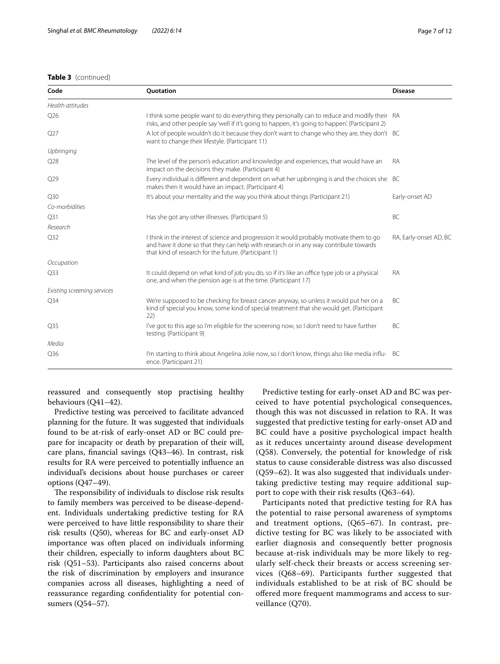## **Table 3** (continued)

| Code                        | Quotation                                                                                                                                                                                                                                  | <b>Disease</b>         |
|-----------------------------|--------------------------------------------------------------------------------------------------------------------------------------------------------------------------------------------------------------------------------------------|------------------------|
| Health attitudes            |                                                                                                                                                                                                                                            |                        |
| Q26                         | I think some people want to do everything they personally can to reduce and modify their RA<br>risks, and other people say 'well if it's going to happen, it's going to happen'. (Participant 2)                                           |                        |
| Q27                         | A lot of people wouldn't do it because they don't want to change who they are, they don't BC<br>want to change their lifestyle. (Participant 11)                                                                                           |                        |
| Upbringing                  |                                                                                                                                                                                                                                            |                        |
| Q28                         | The level of the person's education and knowledge and experiences, that would have an<br>impact on the decisions they make. (Participant 4)                                                                                                | <b>RA</b>              |
| Q29                         | Every individual is different and dependent on what her upbringing is and the choices she BC<br>makes then it would have an impact. (Participant 4)                                                                                        |                        |
| Q30                         | It's about your mentality and the way you think about things (Participant 21)                                                                                                                                                              | Early-onset AD         |
| Co-morbidities              |                                                                                                                                                                                                                                            |                        |
| Q31                         | Has she got any other illnesses. (Participant 5)                                                                                                                                                                                           | BC                     |
| Research                    |                                                                                                                                                                                                                                            |                        |
| Q <sub>32</sub>             | I think in the interest of science and progression it would probably motivate them to go<br>and have it done so that they can help with research or in any way contribute towards<br>that kind of research for the future. (Participant 1) | RA, Early-onset AD, BC |
| Occupation                  |                                                                                                                                                                                                                                            |                        |
| Q33                         | It could depend on what kind of job you do, so if it's like an office type job or a physical<br>one, and when the pension age is at the time. (Participant 17)                                                                             | <b>RA</b>              |
| Existing screening services |                                                                                                                                                                                                                                            |                        |
| Q <sub>34</sub>             | We're supposed to be checking for breast cancer anyway, so unless it would put her on a<br>kind of special you know, some kind of special treatment that she would get. (Participant<br>22)                                                | BC                     |
| Q <sub>35</sub>             | I've got to this age so I'm eligible for the screening now, so I don't need to have further<br>testing. (Participant 9)                                                                                                                    | BC                     |
| Media                       |                                                                                                                                                                                                                                            |                        |
| Q36                         | I'm starting to think about Angelina Jolie now, so I don't know, things also like media influ- BC<br>ence. (Participant 21)                                                                                                                |                        |

reassured and consequently stop practising healthy behaviours (Q41–42).

Predictive testing was perceived to facilitate advanced planning for the future. It was suggested that individuals found to be at-risk of early-onset AD or BC could prepare for incapacity or death by preparation of their will, care plans, fnancial savings (Q43–46). In contrast, risk results for RA were perceived to potentially infuence an individual's decisions about house purchases or career options (Q47–49).

The responsibility of individuals to disclose risk results to family members was perceived to be disease-dependent. Individuals undertaking predictive testing for RA were perceived to have little responsibility to share their risk results (Q50), whereas for BC and early-onset AD importance was often placed on individuals informing their children, especially to inform daughters about BC risk (Q51–53). Participants also raised concerns about the risk of discrimination by employers and insurance companies across all diseases, highlighting a need of reassurance regarding confdentiality for potential consumers (Q54–57).

Predictive testing for early-onset AD and BC was perceived to have potential psychological consequences, though this was not discussed in relation to RA. It was suggested that predictive testing for early-onset AD and BC could have a positive psychological impact health as it reduces uncertainty around disease development (Q58). Conversely, the potential for knowledge of risk status to cause considerable distress was also discussed (Q59–62). It was also suggested that individuals undertaking predictive testing may require additional support to cope with their risk results (Q63–64).

Participants noted that predictive testing for RA has the potential to raise personal awareness of symptoms and treatment options, (Q65–67). In contrast, predictive testing for BC was likely to be associated with earlier diagnosis and consequently better prognosis because at-risk individuals may be more likely to regularly self-check their breasts or access screening services (Q68–69). Participants further suggested that individuals established to be at risk of BC should be ofered more frequent mammograms and access to surveillance (Q70).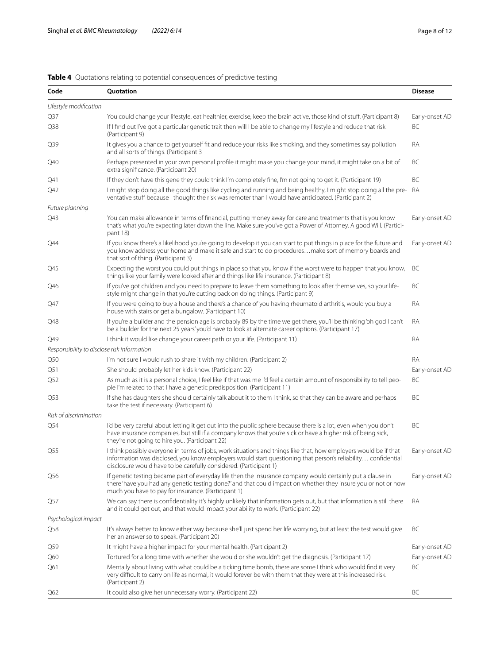<span id="page-7-0"></span>

|  |  |  |  | Table 4 Quotations relating to potential consequences of predictive testing |  |  |
|--|--|--|--|-----------------------------------------------------------------------------|--|--|
|--|--|--|--|-----------------------------------------------------------------------------|--|--|

| Code                                        | Quotation                                                                                                                                                                                                                                                                                             | <b>Disease</b> |
|---------------------------------------------|-------------------------------------------------------------------------------------------------------------------------------------------------------------------------------------------------------------------------------------------------------------------------------------------------------|----------------|
| Lifestyle modification                      |                                                                                                                                                                                                                                                                                                       |                |
| Q37                                         | You could change your lifestyle, eat healthier, exercise, keep the brain active, those kind of stuff. (Participant 8)                                                                                                                                                                                 | Early-onset AD |
| Q38                                         | If I find out I've got a particular genetic trait then will I be able to change my lifestyle and reduce that risk.<br>(Participant 9)                                                                                                                                                                 | BC             |
| Q39                                         | It gives you a chance to get yourself fit and reduce your risks like smoking, and they sometimes say pollution<br>and all sorts of things. (Participant 3                                                                                                                                             | RA             |
| Q40                                         | Perhaps presented in your own personal profile it might make you change your mind, it might take on a bit of<br>extra significance. (Participant 20)                                                                                                                                                  | BC             |
| Q41                                         | If they don't have this gene they could think I'm completely fine, I'm not going to get it. (Participant 19)                                                                                                                                                                                          | BC             |
| Q42                                         | I might stop doing all the good things like cycling and running and being healthy, I might stop doing all the pre-<br>ventative stuff because I thought the risk was remoter than I would have anticipated. (Participant 2)                                                                           | RA             |
| Future planning                             |                                                                                                                                                                                                                                                                                                       |                |
| Q43                                         | You can make allowance in terms of financial, putting money away for care and treatments that is you know<br>that's what you're expecting later down the line. Make sure you've got a Power of Attorney. A good Will. (Partici-<br>pant 18)                                                           | Early-onset AD |
| Q44                                         | If you know there's a likelihood you're going to develop it you can start to put things in place for the future and<br>you know address your home and make it safe and start to do proceduresmake sort of memory boards and<br>that sort of thing. (Participant 3)                                    | Early-onset AD |
| Q45                                         | Expecting the worst you could put things in place so that you know if the worst were to happen that you know,<br>things like your family were looked after and things like life insurance. (Participant 8)                                                                                            | BC             |
| Q46                                         | If you've got children and you need to prepare to leave them something to look after themselves, so your life-<br>style might change in that you're cutting back on doing things. (Participant 9)                                                                                                     | BC             |
| Q47                                         | If you were going to buy a house and there's a chance of you having rheumatoid arthritis, would you buy a<br>house with stairs or get a bungalow. (Participant 10)                                                                                                                                    | RA             |
| Q48                                         | If you're a builder and the pension age is probably 89 by the time we get there, you'll be thinking 'oh god I can't<br>be a builder for the next 25 years' you'd have to look at alternate career options. (Participant 17)                                                                           | RA             |
| Q49                                         | I think it would like change your career path or your life. (Participant 11)                                                                                                                                                                                                                          | RA             |
| Responsibility to disclose risk information |                                                                                                                                                                                                                                                                                                       |                |
| Q50                                         | I'm not sure I would rush to share it with my children. (Participant 2)                                                                                                                                                                                                                               | RA             |
| Q51                                         | She should probably let her kids know. (Participant 22)                                                                                                                                                                                                                                               | Early-onset AD |
| Q52                                         | As much as it is a personal choice, I feel like if that was me I'd feel a certain amount of responsibility to tell peo-<br>ple I'm related to that I have a genetic predisposition. (Participant 11)                                                                                                  | BC             |
| Q53                                         | If she has daughters she should certainly talk about it to them I think, so that they can be aware and perhaps<br>take the test if necessary. (Participant 6)                                                                                                                                         | BC             |
| Risk of discrimination                      |                                                                                                                                                                                                                                                                                                       |                |
| Q54                                         | I'd be very careful about letting it get out into the public sphere because there is a lot, even when you don't<br>have insurance companies, but still if a company knows that you're sick or have a higher risk of being sick,<br>they're not going to hire you. (Participant 22)                    | BC             |
| Q55                                         | I think possibly everyone in terms of jobs, work situations and things like that, how employers would be if that<br>information was disclosed, you know employers would start questioning that person's reliability confidential<br>disclosure would have to be carefully considered. (Participant 1) | Early-onset AD |
| Q56                                         | If genetic testing became part of everyday life then the insurance company would certainly put a clause in<br>there 'have you had any genetic testing done?' and that could impact on whether they insure you or not or how<br>much you have to pay for insurance. (Participant 1)                    | Early-onset AD |
| Q57                                         | We can say there is confidentiality it's highly unlikely that information gets out, but that information is still there<br>and it could get out, and that would impact your ability to work. (Participant 22)                                                                                         | RA             |
| Psychological impact                        |                                                                                                                                                                                                                                                                                                       |                |
| Q58                                         | It's always better to know either way because she'll just spend her life worrying, but at least the test would give<br>her an answer so to speak. (Participant 20)                                                                                                                                    | BC             |
| Q59                                         | It might have a higher impact for your mental health. (Participant 2)                                                                                                                                                                                                                                 | Early-onset AD |
| Q60                                         | Tortured for a long time with whether she would or she wouldn't get the diagnosis. (Participant 17)                                                                                                                                                                                                   | Early-onset AD |
| Q61                                         | Mentally about living with what could be a ticking time bomb, there are some I think who would find it very<br>very difficult to carry on life as normal, it would forever be with them that they were at this increased risk.<br>(Participant 2)                                                     | BC             |
| Q62                                         | It could also give her unnecessary worry. (Participant 22)                                                                                                                                                                                                                                            | BC             |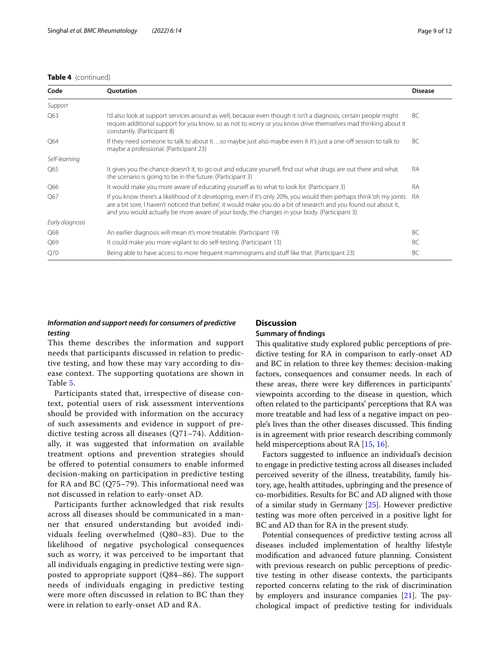#### **Table 4** (continued)

| Code            | Quotation                                                                                                                                                                                                                                                                                                                                  | <b>Disease</b> |
|-----------------|--------------------------------------------------------------------------------------------------------------------------------------------------------------------------------------------------------------------------------------------------------------------------------------------------------------------------------------------|----------------|
| Support         |                                                                                                                                                                                                                                                                                                                                            |                |
| Q63             | I'd also look at support services around as well, because even though it isn't a diagnosis, certain people might<br>require additional support for you know, so as not to worry or you know drive themselves mad thinking about it<br>constantly. (Participant 8)                                                                          | BC.            |
| Q64             | If they need someone to talk to about itso maybe just also maybe even it it's just a one-off session to talk to<br>maybe a professional. (Participant 23)                                                                                                                                                                                  | BC             |
| Self-learning   |                                                                                                                                                                                                                                                                                                                                            |                |
| Q65             | It gives you the chance doesn't it, to go out and educate yourself, find out what drugs are out there and what<br>the scenario is going to be in the future. (Participant 3)                                                                                                                                                               | RA             |
| Q66             | It would make you more aware of educating yourself as to what to look for. (Participant 3)                                                                                                                                                                                                                                                 | <b>RA</b>      |
| Q67             | If you know there's a likelihood of it developing, even if it's only 20%, you would then perhaps think 'oh my joints<br>are a bit sore, I haven't noticed that before', it would make you do a bit of research and you found out about it,<br>and you would actually be more aware of your body, the changes in your body. (Participant 3) | <b>RA</b>      |
| Early diagnosis |                                                                                                                                                                                                                                                                                                                                            |                |
| Q68             | An earlier diagnosis will mean it's more treatable. (Participant 19)                                                                                                                                                                                                                                                                       | BC.            |
| Q69             | It could make you more vigilant to do self-testing. (Participant 13)                                                                                                                                                                                                                                                                       | BC.            |
| Q70             | Being able to have access to more frequent mammograms and stuff like that. (Participant 23)                                                                                                                                                                                                                                                | BC             |

# *Information and support needs for consumers of predictive testing*

# **Discussion**

### **Summary of fndings**

This theme describes the information and support needs that participants discussed in relation to predictive testing, and how these may vary according to disease context. The supporting quotations are shown in Table [5](#page-9-0).

Participants stated that, irrespective of disease context, potential users of risk assessment interventions should be provided with information on the accuracy of such assessments and evidence in support of predictive testing across all diseases (Q71–74). Additionally, it was suggested that information on available treatment options and prevention strategies should be offered to potential consumers to enable informed decision-making on participation in predictive testing for RA and BC (Q75–79). This informational need was not discussed in relation to early-onset AD.

Participants further acknowledged that risk results across all diseases should be communicated in a manner that ensured understanding but avoided individuals feeling overwhelmed (Q80–83). Due to the likelihood of negative psychological consequences such as worry, it was perceived to be important that all individuals engaging in predictive testing were signposted to appropriate support (Q84–86). The support needs of individuals engaging in predictive testing were more often discussed in relation to BC than they were in relation to early-onset AD and RA.

This qualitative study explored public perceptions of predictive testing for RA in comparison to early-onset AD and BC in relation to three key themes: decision-making factors, consequences and consumer needs. In each of these areas, there were key diferences in participants' viewpoints according to the disease in question, which often related to the participants' perceptions that RA was more treatable and had less of a negative impact on people's lives than the other diseases discussed. This finding is in agreement with prior research describing commonly held misperceptions about RA [\[15](#page-11-21), [16](#page-11-22)].

Factors suggested to infuence an individual's decision to engage in predictive testing across all diseases included perceived severity of the illness, treatability, family history, age, health attitudes, upbringing and the presence of co-morbidities. Results for BC and AD aligned with those of a similar study in Germany [\[25](#page-11-16)]. However predictive testing was more often perceived in a positive light for BC and AD than for RA in the present study.

Potential consequences of predictive testing across all diseases included implementation of healthy lifestyle modifcation and advanced future planning. Consistent with previous research on public perceptions of predictive testing in other disease contexts, the participants reported concerns relating to the risk of discrimination by employers and insurance companies  $[21]$  $[21]$ . The psychological impact of predictive testing for individuals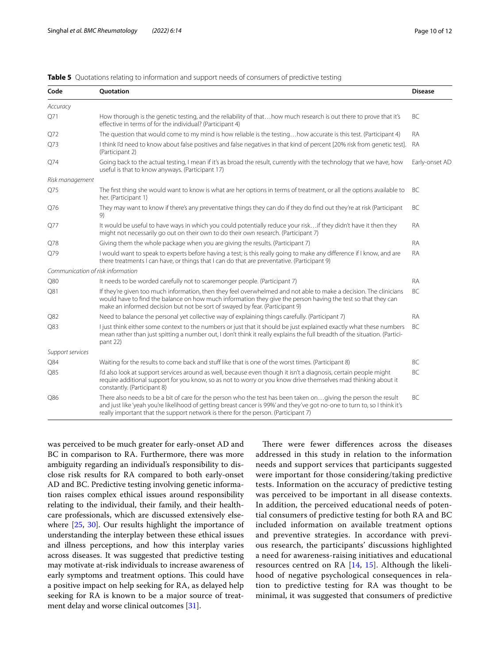| Code                              | Quotation                                                                                                                                                                                                                                                                                                                         | <b>Disease</b> |
|-----------------------------------|-----------------------------------------------------------------------------------------------------------------------------------------------------------------------------------------------------------------------------------------------------------------------------------------------------------------------------------|----------------|
| Accuracy                          |                                                                                                                                                                                                                                                                                                                                   |                |
| Q71                               | How thorough is the genetic testing, and the reliability of thathow much research is out there to prove that it's<br>effective in terms of for the individual? (Participant 4)                                                                                                                                                    | BC             |
| Q72                               | The question that would come to my mind is how reliable is the testinghow accurate is this test. (Participant 4)                                                                                                                                                                                                                  | <b>RA</b>      |
| Q73                               | I think I'd need to know about false positives and false negatives in that kind of percent [20% risk from genetic test].<br>(Participant 2)                                                                                                                                                                                       | <b>RA</b>      |
| Q74                               | Going back to the actual testing, I mean if it's as broad the result, currently with the technology that we have, how<br>useful is that to know anyways. (Participant 17)                                                                                                                                                         | Early-onset AD |
| Risk management                   |                                                                                                                                                                                                                                                                                                                                   |                |
| Q75                               | The first thing she would want to know is what are her options in terms of treatment, or all the options available to<br>her. (Participant 1)                                                                                                                                                                                     | BC             |
| O76                               | They may want to know if there's any preventative things they can do if they do find out they're at risk (Participant<br>9)                                                                                                                                                                                                       | BC             |
| Q77                               | It would be useful to have ways in which you could potentially reduce your risk if they didn't have it then they<br>might not necessarily go out on their own to do their own research. (Participant 7)                                                                                                                           | <b>RA</b>      |
| Q78                               | Giving them the whole package when you are giving the results. (Participant 7)                                                                                                                                                                                                                                                    | <b>RA</b>      |
| Q79                               | I would want to speak to experts before having a test; is this really going to make any difference if I know, and are<br>there treatments I can have, or things that I can do that are preventative. (Participant 9)                                                                                                              | <b>RA</b>      |
| Communication of risk information |                                                                                                                                                                                                                                                                                                                                   |                |
| <b>O80</b>                        | It needs to be worded carefully not to scaremonger people. (Participant 7)                                                                                                                                                                                                                                                        | <b>RA</b>      |
| Q81                               | If they're given too much information, then they feel overwhelmed and not able to make a decision. The clinicians<br>would have to find the balance on how much information they give the person having the test so that they can<br>make an informed decision but not be sort of swayed by fear. (Participant 9)                 | <b>BC</b>      |
| Q82                               | Need to balance the personal yet collective way of explaining things carefully. (Participant 7)                                                                                                                                                                                                                                   | <b>RA</b>      |
| Q83                               | I just think either some context to the numbers or just that it should be just explained exactly what these numbers<br>mean rather than just spitting a number out, I don't think it really explains the full breadth of the situation. (Partici-<br>pant 22)                                                                     | BC.            |
| Support services                  |                                                                                                                                                                                                                                                                                                                                   |                |
| Q84                               | Waiting for the results to come back and stuff like that is one of the worst times. (Participant 8)                                                                                                                                                                                                                               | BC             |
| Q85                               | I'd also look at support services around as well, because even though it isn't a diagnosis, certain people might<br>require additional support for you know, so as not to worry or you know drive themselves mad thinking about it<br>constantly. (Participant 8)                                                                 | BC             |
| Q86                               | There also needs to be a bit of care for the person who the test has been taken ongiving the person the result<br>and just like 'yeah you're likelihood of getting breast cancer is 99%' and they've got no-one to turn to, so I think it's<br>really important that the support network is there for the person. (Participant 7) | BC             |

## <span id="page-9-0"></span>**Table 5** Quotations relating to information and support needs of consumers of predictive testing

was perceived to be much greater for early-onset AD and BC in comparison to RA. Furthermore, there was more ambiguity regarding an individual's responsibility to disclose risk results for RA compared to both early-onset AD and BC. Predictive testing involving genetic information raises complex ethical issues around responsibility relating to the individual, their family, and their healthcare professionals, which are discussed extensively elsewhere [\[25](#page-11-16), [30](#page-11-24)]. Our results highlight the importance of understanding the interplay between these ethical issues and illness perceptions, and how this interplay varies across diseases. It was suggested that predictive testing may motivate at-risk individuals to increase awareness of early symptoms and treatment options. This could have a positive impact on help seeking for RA, as delayed help seeking for RA is known to be a major source of treat-ment delay and worse clinical outcomes [\[31](#page-11-25)].

There were fewer differences across the diseases addressed in this study in relation to the information needs and support services that participants suggested were important for those considering/taking predictive tests. Information on the accuracy of predictive testing was perceived to be important in all disease contexts. In addition, the perceived educational needs of potential consumers of predictive testing for both RA and BC included information on available treatment options and preventive strategies. In accordance with previous research, the participants' discussions highlighted a need for awareness-raising initiatives and educational resources centred on RA [[14,](#page-11-10) [15\]](#page-11-21). Although the likelihood of negative psychological consequences in relation to predictive testing for RA was thought to be minimal, it was suggested that consumers of predictive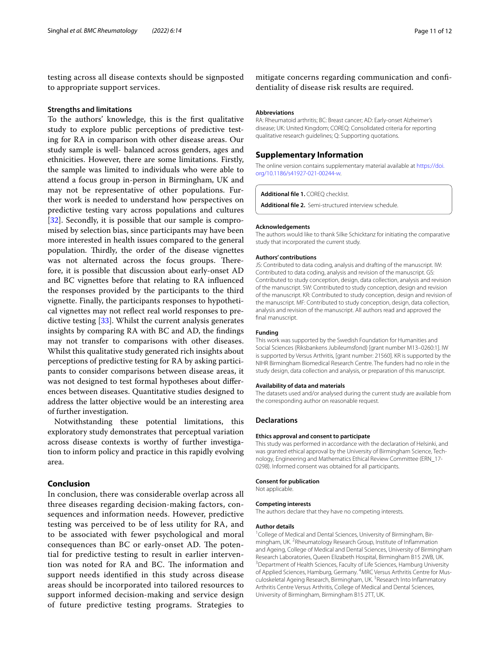testing across all disease contexts should be signposted to appropriate support services.

#### **Strengths and limitations**

To the authors' knowledge, this is the frst qualitative study to explore public perceptions of predictive testing for RA in comparison with other disease areas. Our study sample is well- balanced across genders, ages and ethnicities. However, there are some limitations. Firstly, the sample was limited to individuals who were able to attend a focus group in-person in Birmingham, UK and may not be representative of other populations. Further work is needed to understand how perspectives on predictive testing vary across populations and cultures [[32\]](#page-11-26). Secondly, it is possible that our sample is compromised by selection bias, since participants may have been more interested in health issues compared to the general population. Thirdly, the order of the disease vignettes was not alternated across the focus groups. Therefore, it is possible that discussion about early-onset AD and BC vignettes before that relating to RA infuenced the responses provided by the participants to the third vignette. Finally, the participants responses to hypothetical vignettes may not refect real world responses to predictive testing [\[33\]](#page-11-27). Whilst the current analysis generates insights by comparing RA with BC and AD, the fndings may not transfer to comparisons with other diseases. Whilst this qualitative study generated rich insights about perceptions of predictive testing for RA by asking participants to consider comparisons between disease areas, it was not designed to test formal hypotheses about diferences between diseases. Quantitative studies designed to address the latter objective would be an interesting area of further investigation.

Notwithstanding these potential limitations, this exploratory study demonstrates that perceptual variation across disease contexts is worthy of further investigation to inform policy and practice in this rapidly evolving area.

# **Conclusion**

In conclusion, there was considerable overlap across all three diseases regarding decision-making factors, consequences and information needs. However, predictive testing was perceived to be of less utility for RA, and to be associated with fewer psychological and moral consequences than BC or early-onset AD. The potential for predictive testing to result in earlier intervention was noted for RA and BC. The information and support needs identifed in this study across disease areas should be incorporated into tailored resources to support informed decision-making and service design of future predictive testing programs. Strategies to

mitigate concerns regarding communication and confdentiality of disease risk results are required.

#### **Abbreviations**

RA: Rheumatoid arthritis; BC: Breast cancer; AD: Early-onset Alzheimer's disease; UK: United Kingdom; COREQ: Consolidated criteria for reporting qualitative research guidelines; Q: Supporting quotations.

## **Supplementary Information**

The online version contains supplementary material available at [https://doi.](https://doi.org/10.1186/s41927-021-00244-w) [org/10.1186/s41927-021-00244-w.](https://doi.org/10.1186/s41927-021-00244-w)

#### <span id="page-10-0"></span>**Additional fle 1.** COREQ checklist.

<span id="page-10-1"></span>**Additional fle 2.** Semi-structured interview schedule.

#### **Acknowledgements**

The authors would like to thank Silke Schicktanz for initiating the comparative study that incorporated the current study.

#### **Authors' contributions**

JS: Contributed to data coding, analysis and drafting of the manuscript. IW: Contributed to data coding, analysis and revision of the manuscript. GS: Contributed to study conception, design, data collection, analysis and revision of the manuscript. SW: Contributed to study conception, design and revision of the manuscript. KR: Contributed to study conception, design and revision of the manuscript. MF: Contributed to study conception, design, data collection, analysis and revision of the manuscript. All authors read and approved the final manuscript.

#### **Funding**

This work was supported by the Swedish Foundation for Humanities and Social Sciences (Riksbankens Jubileumsfond) [grant number M13–0260:1]. IW is supported by Versus Arthritis, [grant number: 21560]. KR is supported by the NIHR Birmingham Biomedical Research Centre. The funders had no role in the study design, data collection and analysis, or preparation of this manuscript.

#### **Availability of data and materials**

The datasets used and/or analysed during the current study are available from the corresponding author on reasonable request.

#### **Declarations**

#### **Ethics approval and consent to participate**

This study was performed in accordance with the declaration of Helsinki, and was granted ethical approval by the University of Birmingham Science, Technology, Engineering and Mathematics Ethical Review Committee (ERN\_17- 0298). Informed consent was obtained for all participants.

#### **Consent for publication**

Not applicable.

#### **Competing interests**

The authors declare that they have no competing interests.

#### **Author details**

<sup>1</sup> College of Medical and Dental Sciences, University of Birmingham, Birmingham, UK.<sup>2</sup> Rheumatology Research Group, Institute of Inflammation and Ageing, College of Medical and Dental Sciences, University of Birmingham Research Laboratories, Queen Elizabeth Hospital, Birmingham B15 2WB, UK. <sup>3</sup> Department of Health Sciences, Faculty of Life Sciences, Hamburg University of Applied Sciences, Hamburg, Germany. <sup>4</sup>MRC Versus Arthritis Centre for Musculoskeletal Ageing Research, Birmingham, UK.<sup>5</sup> Research Into Inflammatory Arthritis Centre Versus Arthritis, College of Medical and Dental Sciences, University of Birmingham, Birmingham B15 2TT, UK.